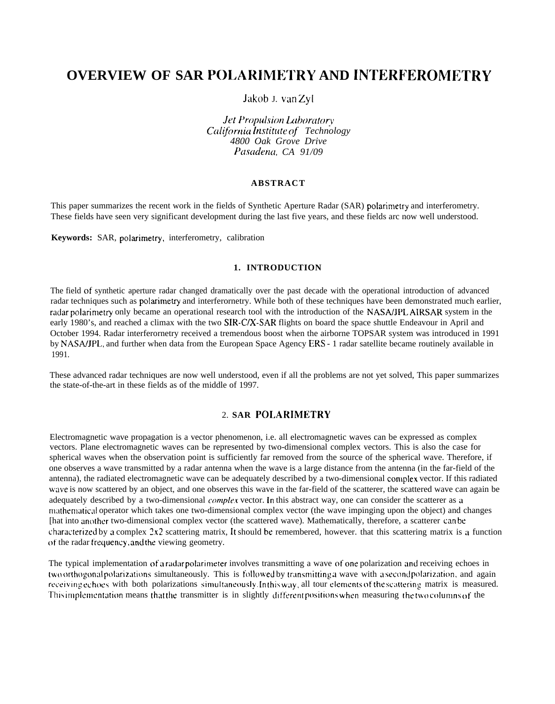# **OVERVIEW OF SAR POLARIMETRY AND INTERFEROMETRY**

Jakob J. van Zyl

*Jet Propulsion Laboratory Calijbrnia lm(itute of Technology 4800 Oak Grove Drive* Pasadena, CA 91/09

#### **ABSTRACT**

This paper summarizes the recent work in the fields of Synthetic Aperture Radar (SAR) polarimetry and interferometry. These fields have seen very significant development during the last five years, and these fields arc now well understood.

**Keywords:** SAR, polarimetry, interferometry, calibration

#### **1. INTRODUCTION**

The field of synthetic aperture radar changed dramatically over the past decade with the operational introduction of advanced radar techniques such as polarimetry and interferornetry. While both of these techniques have been demonstrated much earlier, radar polarimetry only became an operational research tool with the introduction of the NASA/JPL AIRSAR system in the early 1980's, and reached a climax with the two SIR-C/X-SAR flights on board the space shuttle Endeavour in April and October 1994. Radar interferornetry received a tremendous boost when the airborne TOPSAR system was introduced in 1991 by NASA/JPL, and further when data from the European Space Agency ERS - 1 radar satellite became routinely available in 1991.

These advanced radar techniques are now well understood, even if all the problems are not yet solved, This paper summarizes the state-of-the-art in these fields as of the middle of 1997.

## 2. **SAR POLARIMETRY**

Electromagnetic wave propagation is a vector phenomenon, i.e. all electromagnetic waves can be expressed as complex vectors. Plane electromagnetic waves can be represented by two-dimensional complex vectors. This is also the case for spherical waves when the observation point is sufficiently far removed from the source of the spherical wave. Therefore, if one observes a wave transmitted by a radar antenna when the wave is a large distance from the antenna (in the far-field of the antenna), the radiated electromagnetic wave can be adequately described by a two-dimensional complex vector. If this radiated wave is now scattered by an object, and one observes this wave in the far-field of the scatterer, the scattered wave can again be adequately described by a two-dimensional *cmnple.r* vector. [n this abstract way, one can consider the scatterer as a mathematical operator which takes one two-dimensional complex vector (the wave impinging upon the object) and changes [hat into another two-dimensional complex vector (the scattered wave). Mathematically, therefore, a scatterer can be characterized by a complex  $2x2$  scattering matrix, It should be remembered, however. that this scattering matrix is a function ot' the radar trequency, and the viewing geometry.

The typical implementation of a radar polarimeter involves transmitting a wave of one polarization and receiving echoes in two orthogonal polarizations simultaneously. This is followed by transmitting a wave with a second polarization, and again receiving echoes with both polarizations simultaneously. In this way, all tour elements of the scattering matrix is measured. This implementation means that the transmitter is in slightly different positions when measuring the two columns of the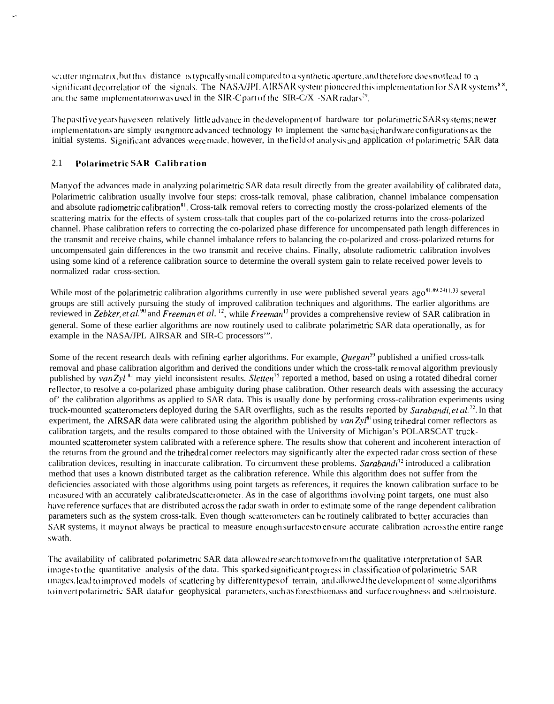scatter ing matrix, but this distance is typically small compared to a synthetic aperture, and therefore does not lead to a significant decorrelation of the signals. The NASA/JPLAIRSAR system pioneered this implementation for SAR systems<sup>\*\*</sup>. and the same implementation was used in the SIR-C part of the SIR-C/X -SAR radars<sup>20</sup>.

The past five years have seen relatively little advance in the development of hardware tor polarimetric SAR systems; newer implementations are simply using more advanced technology to implement the samebasic hardware configurations as the initial systems. Significant advances were made, however, in the field of analysis and application of polarimetric SAR data

#### $2.1$ Polarimetric SAR Calibration

Many of the advances made in analyzing polarimetric SAR data result directly from the greater availability of calibrated data, Polarimetric calibration usually involve four steps: cross-talk removal, phase calibration, channel imbalance compensation and absolute radiometric calibration<sup>81</sup>. Cross-talk removal refers to correcting mostly the cross-polarized elements of the scattering matrix for the effects of system cross-talk that couples part of the co-polarized returns into the cross-polarized channel. Phase calibration refers to correcting the co-polarized phase difference for uncompensated path length differences in the transmit and receive chains, while channel imbalance refers to balancing the co-polarized and cross-polarized returns for uncompensated gain differences in the two transmit and receive chains. Finally, absolute radiometric calibration involves using some kind of a reference calibration source to determine the overall system gain to relate received power levels to normalized radar cross-section.

While most of the polarimetric calibration algorithms currently in use were published several years ago<sup>81,89,2411,33</sup> several groups are still actively pursuing the study of improved calibration techniques and algorithms. The earlier algorithms are reviewed in Zebker, et al.<sup>90</sup> and Freeman et al.<sup>12</sup>, while Freeman<sup>13</sup> provides a comprehensive review of SAR calibration in general. Some of these earlier algorithms are now routinely used to calibrate polarimetric SAR data operationally, as for example in the NASA/JPL AIRSAR and SIR-C processors".

Some of the recent research deals with refining earlier algorithms. For example, Quegan<sup>59</sup> published a unified cross-talk removal and phase calibration algorithm and derived the conditions under which the cross-talk removal algorithm previously published by van Zyl<sup><sup>81</sup></sup> may yield inconsistent results. Sletten<sup>75</sup> reported a method, based on using a rotated dihedral corner reflector, to resolve a co-polarized phase ambiguity during phase calibration. Other research deals with assessing the accuracy of' the calibration algorithms as applied to SAR data. This is usually done by performing cross-calibration experiments using truck-mounted scatterometers deployed during the SAR overflights, such as the results reported by *Sarabandi, et al.*<sup>72</sup>. In that experiment, the AIRSAR data were calibrated using the algorithm published by  $van Zyl$ <sup>81</sup> using trihedral corner reflectors as calibration targets, and the results compared to those obtained with the University of Michigan's POLARSCAT truckmounted scatterometer system calibrated with a reference sphere. The results show that coherent and incoherent interaction of the returns from the ground and the trihedral corner reelectors may significantly alter the expected radar cross section of these calibration devices, resulting in inaccurate calibration. To circumvent these problems. Sarabandi<sup>12</sup> introduced a calibration method that uses a known distributed target as the calibration reference. While this algorithm does not suffer from the deficiencies associated with those algorithms using point targets as references, it requires the known calibration surface to be measured with an accurately calibrated scatterometer. As in the case of algorithms involving point targets, one must also have reference surfaces that are distributed across the radar swath in order to estimate some of the range dependent calibration parameters such as the system cross-talk. Even though scatterometers can be routinely calibrated to better accuracies than SAR systems, it may not always be practical to measure enough surfaces to ensure accurate calibration across the entire range swath.

The availability of calibrated polarimetric SAR data allowed research to move from the qualitative interpretation of SAR images to the quantitative analysis of the data. This sparked significant progress in classification of polarimetric SAR images, lead to improved models of scattering by different types of terrain, and allowed the development of some algorithms to invert polarimetric SAR data for geophysical parameters, such as forest biomass and surface roughness and soil moisture.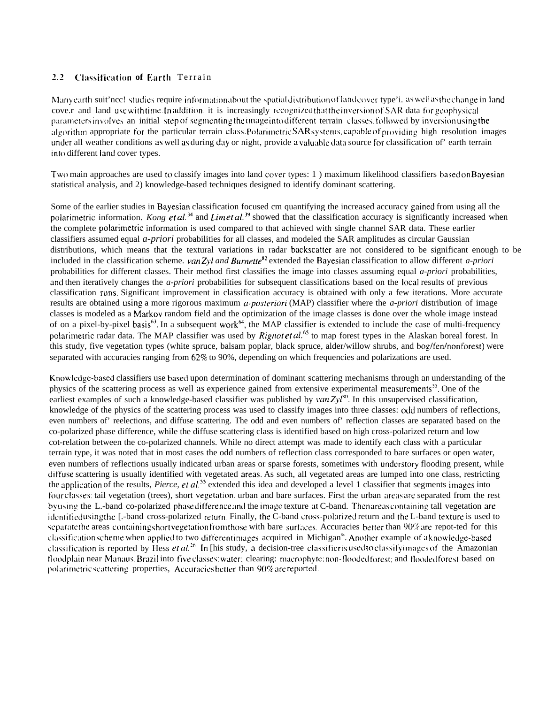### ~.~ **('lassitication of Earth** Terrai n

Many earth suit'nce! studies require information about the spatial distribution of land cover type'i. as well as the change in land cove.r and land use with time. In addition, it is increasingly recognized that the inversion of SAR data for geophysical parameters involves an initial step of segmenting the image into different terrain classes, followed by inversion using the algorithm appropriate for the particular terrain class. Polarimetric SAR systems, capable of providing high resolution images under all weather conditions as well as during day or night, provide a valuable data source for classification of' earth terrain into different land cover types.

Two main approaches are used to classify images into land cover types: 1 ) maximum likelihood classifiers based on Bayesian statistical analysis, and 2) knowledge-based techniques designed to identify dominant scattering.

Some of the earlier studies in Bayesian classification focused cm quantifying the increased accuracy gained from using all the polarimetric information. *Kong et al.*<sup>34</sup> and *Limet al.*<sup>39</sup> showed that the classification accuracy is significantly increased when the complete polarimetric information is used compared to that achieved with single channel SAR data. These earlier classifiers assumed equal *a-priori* probabilities for all classes, and modeled the SAR amplitudes as circular Gaussian distributions, which means that the textural variations in radar backscatter are not considered to be significant enough to be included in the classification scheme. van Zyl *and Burnefte82* extended the Bayesian classification to allow different *a-priori* probabilities for different classes. Their method first classifies the image into classes assuming equal *a-priori* probabilities, and then iteratively changes the *a-priori* probabilities for subsequent classifications based on the local results of previous classification runs. Significant improvement in classification accuracy is obtained with only a few iterations. More accurate results are obtained using a more rigorous maximum *a-posteriori* (MAP) classifier where the *a-priori* distribution of image classes is modeled as a Markov random field and the optimization of the image classes is done over the whole image instead of on a pixel-by-pixel basis<sup>63</sup>. In a subsequent work<sup>64</sup>, the MAP classifier is extended to include the case of multi-frequency polarimetric radar data. The MAP classifier was used by *Rignof et a/.6s* to map forest types in the Alaskan boreal forest. In this study, five vegetation types (white spruce, balsam poplar, black spruce, alder/willow shrubs, and bog/fen/nonforest) were separated with accuracies ranging from 62% to 90%, depending on which frequencies and polarizations are used.

Knowledge-based classifiers use based upon determination of dominant scattering mechanisms through an understanding of the physics of the scattering process as well as experience gained from extensive experimental measurements<sup>55</sup>. One of the earliest examples of such a knowledge-based classifier was published by  $van Zy\hat{I}^{(8)}$ . In this unsupervised classification, knowledge of the physics of the scattering process was used to classify images into three classes: odd numbers of reflections, even numbers of' reelections, and diffuse scattering. The odd and even numbers of' reflection classes are separated based on the co-polarized phase difference, while the diffuse scattering class is identified based on high cross-polarized return and low cot-relation between the co-polarized channels. While no direct attempt was made to identify each class with a particular terrain type, it was noted that in most cases the odd numbers of reflection class corresponded to bare surfaces or open water, even numbers of reflections usually indicated urban areas or sparse forests, sometimes with understory flooding present, while diffuse scattering is usually identified with vegetated areas. As such, all vegetated areas are lumped into one class, restricting the application of the results, *Pierce, et al.*<sup>55</sup> extended this idea and developed a level 1 classifier that segments images into four classes: tail vegetation (trees), short vegetation, urban and bare surfaces. First the urban areas are separated from the rest by using the L.-band co-polarized phase difference and the image texture at C-band. Then areas containing tall vegetation are identified using the [.-band cross-polarized return. Finally, the C-band cross-polarized return and the L-band texture is used to separate the areas containing short vegetation from those with bare surfaces. Accuracies better than 90% are repot-ted for this classificationscheme when applied to two different images acquired in Michigan<sup>\$s</sup>. Another example of a knowledge-based classification is reported by Hess *et al.* <sup>26</sup> In [his study, a decision-tree classificr is used to classify images of the Amazonian floodplain near Manaus, Brazil into five classes: water; clearing: macrophyte; non-flooded forest; and flooded forest based on polarimetric scattering properties, Accuracies better than 90% are reported.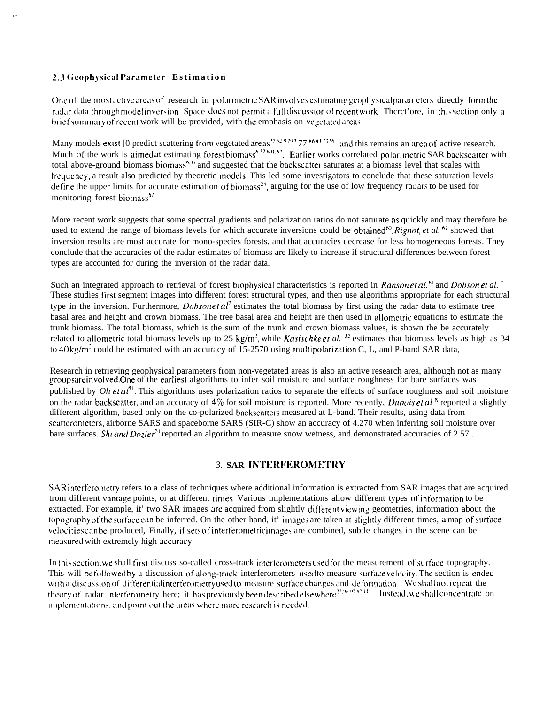#### 2.3 Geophysical Parameter Estimation

One of the most active areas of research in polarimetric SAR involves estimating geophysical parameters directly form the radar data through model inversion. Space does not permit a full discussion of recent work. Theret'ore, in this section only a brief summary of recent work will be provided, with the emphasis on vegetated areas.

Many models exist [0 predict scattering from vegetated areas<sup>15.62.979</sup> 177<sup>86.83.2736</sup> and this remains an area of active research. Much of the work is aimed at estimating forest biomass<sup>6,37,601,67</sup>. Earlier works correlated polarimetric SAR backscatter with total above-ground biomass biomass<sup>6,37</sup> and suggested that the backscatter saturates at a biomass level that scales with frequency, a result also predicted by theoretic models. This led some investigators to conclude that these saturation levels define the upper limits for accurate estimation of biomass<sup>28</sup>, arguing for the use of low frequency radars to be used for monitoring forest biomass<sup>67</sup>.

More recent work suggests that some spectral gradients and polarization ratios do not saturate as quickly and may therefore be used to extend the range of biomass levels for which accurate inversions could be obtained<sup>60</sup>. Rignot, et al. <sup>67</sup> showed that inversion results are most accurate for mono-species forests, and that accuracies decrease for less homogeneous forests. They conclude that the accuracies of the radar estimates of biomass are likely to increase if structural differences between forest types are accounted for during the inversion of the radar data.

Such an integrated approach to retrieval of forest biophysical characteristics is reported in Ranson et al.<sup>61</sup> and Dobson et al.<sup>7</sup> These studies first segment images into different forest structural types, and then use algorithms appropriate for each structural type in the inversion. Furthermore, *Dobsonet al*<sup>1</sup> estimates the total biomass by first using the radar data to estimate tree basal area and height and crown biomass. The tree basal area and height are then used in allometric equations to estimate the trunk biomass. The total biomass, which is the sum of the trunk and crown biomass values, is shown the be accurately related to allometric total biomass levels up to 25 kg/m<sup>2</sup>, while *Kasischke et al.* <sup>32</sup> estimates that biomass levels as high as 34 to 40 kg/m<sup>2</sup> could be estimated with an accuracy of 15-2570 using multipolarization C, L, and P-band SAR data,

Research in retrieving geophysical parameters from non-vegetated areas is also an active research area, although not as many groupsare involved. One of the earliest algorithms to infer soil moisture and surface roughness f published by *Oh et al*<sup>51</sup>. This algorithms uses polarization ratios to separate the effects of surface roughness and soil moisture on the radar backscatter, and an accuracy of 4% for soil moisture is reported. More recently, *Dubois et al.*<sup>8</sup> reported a slightly different algorithm, based only on the co-polarized backscatters measured at L-band. Their results, using data from scatterometers, airborne SARS and spaceborne SARS (SIR-C) show an accuracy of 4.270 when inferring soil moisture over bare surfaces. Shi and Dozier<sup>14</sup> reported an algorithm to measure snow wetness, and demonstrated accuracies of 2.57.

#### **3. SAR INTERFEROMETRY**

SAR interferometry refers to a class of techniques where additional information is extracted from SAR images that are acquired trom different vantage points, or at different times. Various implementations allow different types of information to be extracted. For example, it' two SAR images are acquired from slightly different viewing geometries, information about the topography of the surface can be inferred. On the other hand, it' images are taken at slightly different times, a map of surface velocities can be produced. Finally, if sets of interferometric images are combined, subtle changes in the scene can be measured with extremely high accuracy.

In this section, we shall first discuss so-called cross-track interferometers used for the measurement of surface topography. This will be followed by a discussion of along-track interferometers used to measure surfacevelocity. The section is ended with a discussion of differential interferometry used to measure surface changes and deformation. We shall not repeat the theory of radar interferometry here; it has previously been described elsewhere<sup>21,96,97</sup><sup>82,14</sup> Instead, we shall concentrate on implementations, and point out the areas where more research is needed.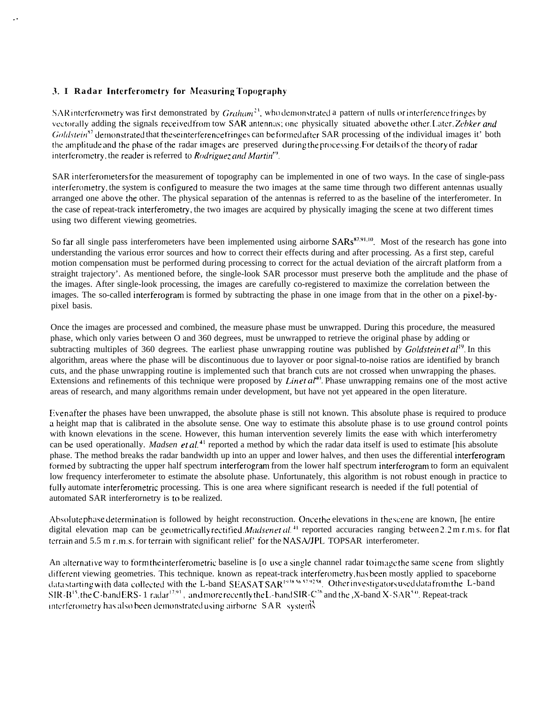#### 3. I Radar Interferometry for Measuring Topography

SAR interferometry was first demonstrated by  $Graham<sup>23</sup>$ , who demonstrated a pattern of nulls or interference fringes by vectorally adding the signals received from tow SAR antennas; one physically situated above the other. Later, Zebker and Goldstein<sup>87</sup> demonstrated that these interference fringes can be formed after SAR processing of the individual images it' both the amplitude and the phase of the radar images are preserved during the processing. For details of the theory of radar interferometry, the reader is referred to Rodriguez and Martin<sup>to</sup>.

SAR interferometers for the measurement of topography can be implemented in one of two ways. In the case of single-pass interferometry, the system is configured to measure the two images at the same time through two different antennas usually arranged one above the other. The physical separation of the antennas is referred to as the baseline of the interferometer. In the case of repeat-track interferometry, the two images are acquired by physically imaging the scene at two different times using two different viewing geometries.

So far all single pass interferometers have been implemented using airborne SARs<sup>87,91,10</sup>. Most of the research has gone into understanding the various error sources and how to correct their effects during and after processing. As a first step, careful motion compensation must be performed during processing to correct for the actual deviation of the aircraft platform from a straight trajectory'. As mentioned before, the single-look SAR processor must preserve both the amplitude and the phase of the images. After single-look processing, the images are carefully co-registered to maximize the correlation between the images. The so-called interferogram is formed by subtracting the phase in one image from that in the other on a pixel-bypixel basis.

Once the images are processed and combined, the measure phase must be unwrapped. During this procedure, the measured phase, which only varies between O and 360 degrees, must be unwrapped to retrieve the original phase by adding or subtracting multiples of 360 degrees. The earliest phase unwrapping routine was published by *Goldstein et al*<sup>19</sup>. In this algorithm, areas where the phase will be discontinuous due to layover or poor signal-to-noise ratios are identified by branch cuts, and the phase unwrapping routine is implemented such that branch cuts are not crossed when unwrapping the phases. Extensions and refinements of this technique were proposed by Linet  $a t^{40}$ . Phase unwrapping remains one of the most active areas of research, and many algorithms remain under development, but have not yet appeared in the open literature.

Even after the phases have been unwrapped, the absolute phase is still not known. This absolute phase is required to produce a height map that is calibrated in the absolute sense. One way to estimate this absolute phase is to use ground control points with known elevations in the scene. However, this human intervention severely limits the ease with which interferometry can be used operationally. *Madsen et al.*<sup>41</sup> reported a method by which the radar data itself is used to estimate [his absolute phase. The method breaks the radar bandwidth up into an upper and lower halves, and then uses the differential interferogram formed by subtracting the upper half spectrum interferogram from the lower half spectrum interferogram to form an equivalent low frequency interferometer to estimate the absolute phase. Unfortunately, this algorithm is not robust enough in practice to fully automate interferometric processing. This is one area where significant research is needed if the full potential of automated SAR interferornetry is to be realized.

Absolute phase determination is followed by height reconstruction. Once the elevations in the scene are known, [he entire digital elevation map can be geometrically rectified. Madsenet al.<sup>41</sup> reported accuracies ranging between 2.2 m r.m s. for flat terrain and 5.5 m r.m.s. for terrain with significant relief' for the NASA/JPL TOPSAR interferometer.

An alternative way to form the interferometric baseline is [o use a single channel radar to image the same scene from slightly different viewing geometries. This technique. known as repeat-track interferometry, has been mostly applied to spaceborne data starting with data collected with the L-band SEASATSAR<sup>1938</sup> S599258</sup>. Other investigators used data from the L-band SIR-B<sup>15</sup>, the C-bandERS-1 radar<sup>17,93</sup>, and more recently the L-band SIR-C<sup>76</sup> and the ,X-band X-SAR<sup>50</sup>. Repeat-track interferometry has also been demonstrated using airborne SAR systems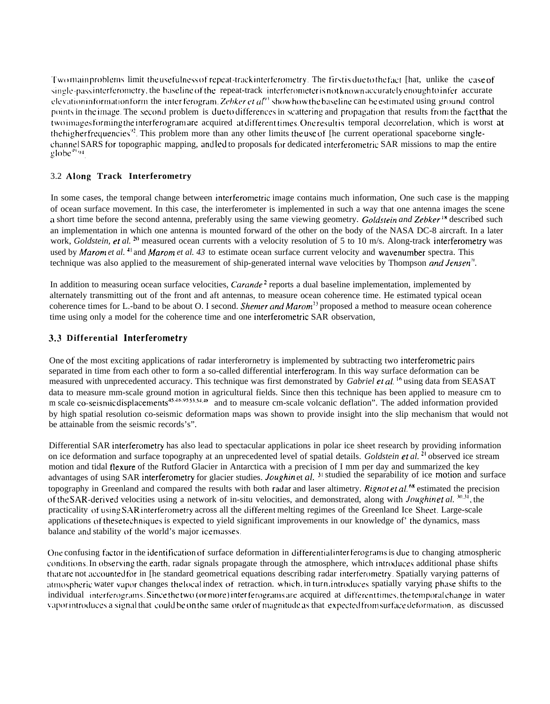Two main problems limit the usefulness of repeat-track interferometry. The first is due to the fact [hat, unlike the case of single-pass interferometry, the baseline of the repeat-track interferometer is not known accurately enough to infer accurate clevation information form the inter ferogram. *Zebker et al*<sup>"</sup> show how the baseline can be estimated using ground control points in the image. The second problem is due to differences in scattering and propagation that results from the fact that the two images forming the interferogram are acquired at different times. One result is temporal decorrelation, which is worst at the higher frequencies"<sup>2</sup>. This problem more than any other limits the use of [he current operational spaceborne singlechannel SARS for topographic mapping, and led to proposals for dedicated interferometric SAR missions to map the entire  $\text{globe}^{4994}$ 

#### 3.2 **Alcmg Track Interferometry**

In some cases, the temporal change between interferometric image contains much information, One such case is the mapping of ocean surface movement. In this case, the interferometer is implemented in such a way that one antenna images the scene a short time before the second antenna, preferably using the same viewing geometry. *Goldstein and Zebker*<sup>18</sup> described such an implementation in which one antenna is mounted forward of the other on the body of the NASA DC-8 aircraft. In a later work, *Goldstein, et al.* <sup>20</sup> measured ocean currents with a velocity resolution of 5 to 10 m/s. Along-track interferometry was used by *Marom et al.* <sup>41</sup> and *Marom et al.* 43 to estimate ocean surface current velocity and wavenumber spectra. This technique was also applied to the measurement of ship-generated internal wave velocities by Thompson *and Jensen*<sup>78</sup>.

In addition to measuring ocean surface velocities, *Carande*<sup>2</sup> reports a dual baseline implementation, implemented by alternately transmitting out of the front and aft antennas, to measure ocean coherence time. He estimated typical ocean coherence times for L.-band to be about O. I second. *Shemer and kfarom"* proposed a method to measure ocean coherence time using only a model for the coherence time and one interferometric SAR observation,

# **3.3 Differential Interferometry**

One of the most exciting applications of radar interferornetry is implemented by subtracting two interferometric pairs separated in time from each other to form a so-called differential interferogram. In this way surface deformation can be measured with unprecedented accuracy. This technique was first demonstrated by *Gabriel et al. '6* using data from SEASAT data to measure mm-scale ground motion in agricultural fields. Since then this technique has been applied to measure cm to m scale co-seismic displacements<sup>45,46,9553,54,48</sup> and to measure cm-scale volcanic deflation". The added information provided by high spatial resolution co-seismic deformation maps was shown to provide insight into the slip mechanism that would not be attainable from the seismic records's".

Differential SAR interferometry has also lead to spectacular applications in polar ice sheet research by providing information on ice deformation and surface topography at an unprecedented level of spatial details. *Goldstein er al. 2'* observed ice stream motion and tidal flexure of the Rutford Glacier in Antarctica with a precision of I mm per day and summarized the key advantages of using SAR interferometry for glacier studies. *Joughin* et *al*. <sup>31</sup> studied the separability of ice motion and surface topography in Greenland and compared the results with both radar and laser altimetry. Rignof er *al. 6"* estimated the precision of the SAR-derived velocities using a network of in-situ velocities, and demonstrated, along with *Joughinet al.*  $^{30,31}$ , the practicality of using SAR interferometry across all the different melting regimes of the Greenland Ice Sheet. Large-scale applications of these techniques is expected to yield significant improvements in our knowledge of' the dynamics, mass balance and stability of the world's major ice masses.

One confusing factor in the identification of surface deformation in differential inter terograms is due to changing atmospheric conditions. In observing the earth, radar signals propagate through the atmosphere, which introduces additional phase shifts that are not accounted for in [he standard geometrical equations describing radar interferometry. Spatially varying patterns of atmospheric water vapor changes the local index of retraction, which, in turn, introduces spatially varying phase shifts to the individual interferograms. Since the two (or more) inter ferograms are acquired at different times, the temporal change in water vapor introduces a signal that could be on the same order of magnitude as that expected from surface deformation, as discussed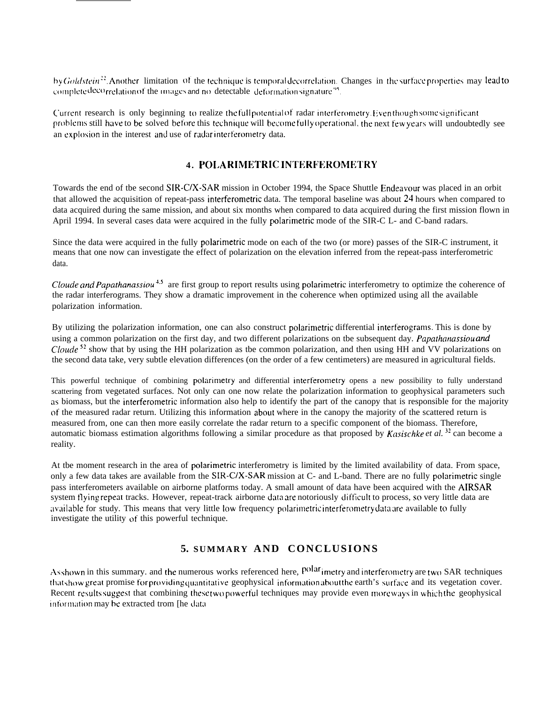by Goldstein<sup>22</sup>. Another limitation of the technique is temporal decorrelation. Changes in the surface properties may lead to complete decorrelation of the images and no detectable deformation signature " $\delta$ .

Current research is only beginning to realize the full potential of radar interferometry. Even though some significant problems still have to be solved before this technique will become fully operational, the next few years will undoubtedly see an explosion in the interest and use of radar interferometry data.

# **4. POLARIMETRIC INTERFEROMETRY**

Towards the end of tbe second SIR-C/X-SAR mission in October 1994, the Space Shuttle Endeavour was placed in an orbit that allowed the acquisition of repeat-pass interferometric data. The temporal baseline was about 24 hours when compared to data acquired during the same mission, and about six months when compared to data acquired during the first mission flown in April 1994. In several cases data were acquired in the fully polarimetric mode of the SIR-C L- and C-band radars.

Since the data were acquired in the fully polarimetric mode on each of the two (or more) passes of the SIR-C instrument, it means that one now can investigate the effect of polarization on the elevation inferred from the repeat-pass interferometric data.

*Cloude and Papathanassiou <sup>15</sup>* are first group to report results using polarimetric interferometry to optimize the coherence of the radar interferograms. They show a dramatic improvement in the coherence when optimized using all the available polarization information.

By utilizing the polarization information, one can also construct polarimetric differential interferograms. This is done by using a common polarization on the first day, and two different polarizations on tbe subsequent day. *Papafhanussiou and Cloude <sup>52</sup>* show that by using the HH polarization as tbe common polarization, and then using HH and VV polarizations on the second data take, very subtle elevation differences (on the order of a few centimeters) are measured in agricultural fields.

This powerful technique of combining polarimetry and differential interferometry opens a new possibility to fully understand scattering from vegetated surfaces. Not only can one now relate the polarization information to geophysical parameters such as biomass, but the interferometric information also help to identify the part of the canopy that is responsible for the majority of the measured radar return. Utilizing this information about where in the canopy the majority of the scattered return is measured from, one can then more easily correlate the radar return to a specific component of the biomass. Therefore, automatic biomass estimation algorithms following a similar procedure as that proposed by *Kasischke et al. 32* can become a reality.

At tbe moment research in the area of polarimetric interferometry is limited by the limited availability of data. From space, only a few data takes are available from the SIR-C/X-SAR mission at C- and L-band. There are no fully polarimetric single pass interferometers available on airborne platforms today. A small amount of data have been acquired with the AIRSAR system flying repeat tracks. However, repeat-track airborne data are notoriously difficult to process, so very little data are available for study. This means that very little low frequency polarimetric interferometry data are available to fully investigate the utility of this powerful technique.

# **5. SUMMARY AND CONCLUSIONS**

As shown in this summary, and the numerous works referenced here, polar imetry and interferometry are two SAR techniques that show great promise for providing quantitative geophysical information about the earth's surface and its vegetation cover. Recent results suggest that combining these two powerful techniques may provide even more ways in which the geophysical information may be extracted trom [he data]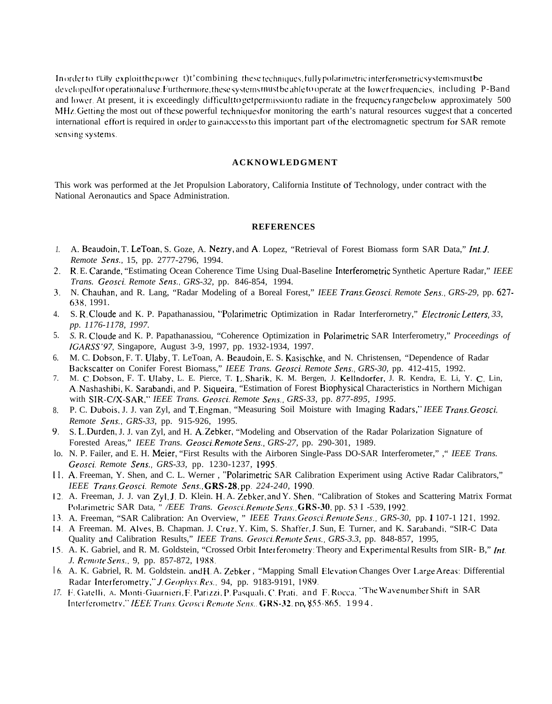In order to f'Lilly exploit the power t)t' combining these techniques, fully polarimetric interferometric systems must be developed for operational use. Furthermore, these systems must be able to operate at the Iower frequencies, including P-Band and lower. At present, it is exceedingly difficult to get permission to radiate in the frequency range below approximately 500 MHz. Getting the most out of these powerful techniques for monitoring the earth's natural resources suggest that a concerted international effort is required in order to gain access to this important part of the electromagnetic spectrum for SAR remote sensing systems

#### **ACKNOWLEDGMENT**

This work was performed at the Jet Propulsion Laboratory, California Institute of Technology, under contract with the National Aeronautics and Space Administration.

#### **REFERENCES**

- *1.* A. Beaudoin, T. LeToan, S. Goze, A. Nezry, and A. Lopez, "Retrieval of Forest Biomass form SAR Data," Int. Y. *Remote Serls.,* 15, pp. 2777-2796, 1994.
- 2. R, E. Carande, "Estimating Ocean Coherence Time Using Dual-Baseline Interferometric Synthetic Aperture Radar," *IEEE Trans. Geosci. Remote Sens., GRS-32,* pp. 846-854, 1994.
- 3. N. Chauhan, and R. Lang, "Radar Modeling of a Boreal Forest," *IEEE Trans. Geosci, Remote Sens., GRS-29,* pp. 627- 638, 1991.
- 4. S. R. Cloude and K. P. Papathanassiou, "Polarimetric Optimization in Radar Interferornetry," *Electronic Letters*, 33, *pp. 1176-1178, 1997.*
- 5. *S.* R. Cloude and K. P. Papathanassiou, "Coherence Optimization in Polarirnetric SAR Interferometry," *Proceedings of lGARSS'97,* Singapore, August 3-9, 1997, pp. 1932-1934, 1997.
- 6. M. C. Dobson, F. T. Ulaby, T. LeToan, A. Beaudoin, E. S. Kasischke, and N. Christensen, "Dependence of Radar Backscatter on Conifer Forest Biomass," *IEEE Trans. Geosci. Remote Sens., GRS-30,* pp. 412-415, 1992.
- 7. M. C. Dobson, F. T. Ulaby, L. E. Pierce, T. 1., Sharik, K. M. Bergen, J. Kellndorfer, J. R. Kendra, E. Li, Y. C. Lin, A. Nashasbibi, K. Sarabandi, and P. Siqueira, "Estimation of Forest Biophysical Characteristics in Northern Michigan with SIR-CIX-SAR," *IEEE Trans. Geosci. Remote Sens., GRS-33,* pp. *877-895, 1995.*
- 8. P. C. Dubois, J. J. van Zyl, and T, Engman, "Measuring Soil Moisture with Imaging Raclars," *IEEE Trans. Geosci. Remote Sens., GRS-33,* pp. 915-926, 1995.
- 9. S. L, Durden, J. J. van Zyl, and H. A, Zebker, "Modeling and Observation of the Radar Polarization Signature of Forested Areas," *IEEE Trans. Geosci. Remote Sens., GRS-27,* pp. 290-301, 1989.
- lo. N. P. Failer, and E. H. Meier, "First Results with the Airboren Single-Pass DO-SAR Interferometer," ," IEEE Trans. *Geosci. Remote Sens., GRS-33,* pp. 1230-1237, 1995,
- 11, A, Freeman, Y. Shen, and C. L. Werner , "Polarimetric SAR Calibration Experiment using Active Radar Calibrators," *IEEE Trarrs. Geosci. Remote Sens., GRS-28,* pp. *224-240, 1990.*
- 12. A. Freeman, J. J. van Zyl. J, D. Klein. H. A. Zebker, and Y. Shen. "Calibration of Stokes and Scattering Matrix Format Polarirnetric SAR Data, " */EEE Trans. Geosci. Rernore Sens.,* **GRS-30,** pp. 53 I -539, 1992,
- 13. A. Freeman, "SAR Calibration: An Overview, " *IEEE Trans. Geosci. Remote Sens., GRS-30*, pp. 1 107-1 121, 1992.
- 14. A Freeman. M. Alves. B. Chapman. J. C'ruz, Y. Kim, S. Shat'ter. J. Sun, E. Turner, and K. Sartibandi, "SIR-C Data Quality and Calibration Results," *IEEE Trans. Geosci. Remote Sens., GRS-3.3,* pp. 848-857, 1995,
- 15. A. K. Gabriel, and R. M. Goldstein, "Crossed Orbit Interferometry: Theory and Experimental Results from SIR- B," Int. *J. Remote Sens.*, 9, pp. 857-872, 1988.
- 16. A. K. Gabriel, R. M. Goldstein. and H. A. Zebker, "Mapping Small Elevation Changes Over Large Areas: Differential Radar Interferometry," *J. Geophys. Res.*, 94, pp. 9183-9191, 1989.
- 17. F. Gatelli, A. Monti-Guarnieri, F. Parizzi, P. Pasquali, C. Prati. and F. Rocca, "The Wavenumber Shift in SAR l[~[crtert)lr~ctrv." /EEE *Tr(IrI.s. (;co.~(i RcnK)re .Scn.(., GRS-32. nn,*r,855-865. 1994 .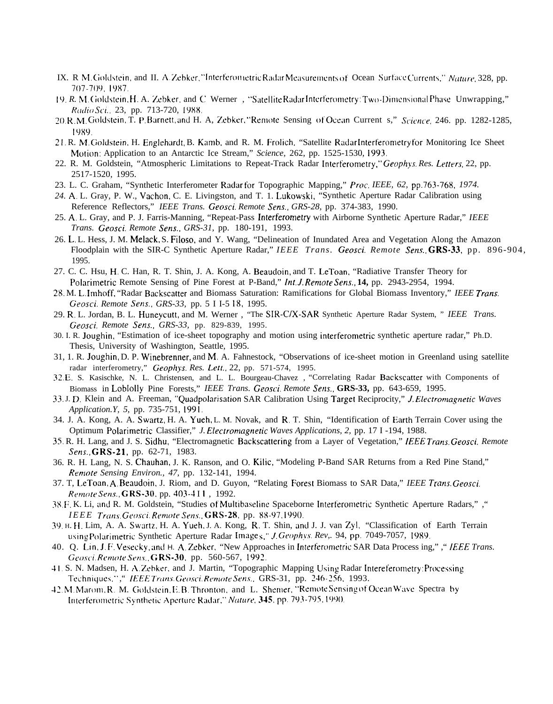- IX. R. M. Goldstein, and II. A. Zebker, "Interferometric Radar Measurements of Ocean Surface Currents," Nature, 328, pp. 707-709, 1987.
- 19. R. M. Goldstein, H. A. Zebker, and C. Werner, "Satellite Radar Interferometry: Two-Dimensional Phase. Unwrapping," Radio Sci., 23, pp. 713-720, 1988.
- 20 R.M. Goldstein, T. P. Barnett, and H. A, Zebker, "Remote Sensing of Ocean Current s," Science, 246. pp. 1282-1285, 1989.
- 21. R. M. Goldstein, H. Englehardt, B. Kamb, and R. M. Frolich, "Satellite RadarInterferometry for Monitoring Ice Sheet Motion: Application to an Antarctic Ice Stream," Science, 262, pp. 1525-1530, 1993.
- 22. R. M. Goldstein, "Atmospheric Limitations to Repeat-Track Radar Interferometry," Geophys. Res. Letters, 22, pp. 2517-1520, 1995.
- 23. L. C. Graham, "Synthetic Interferometer Radar for Topographic Mapping," Proc. IEEE, 62, pp.763-768, 1974.
- 24. A. L. Gray, P. W., Vachon, C. E. Livingston, and T. 1. Lukowski, "Synthetic Aperture Radar Calibration using Reference Reflectors," IEEE Trans. Geosci. Remote Sens., GRS-28, pp. 374-383, 1990.
- 25. A. L. Gray, and P. J. Farris-Manning, "Repeat-Pass Interferometry with Airborne Synthetic Aperture Radar," IEEE Trans. Geosci. Remote Sens., GRS-31, pp. 180-191, 1993.
- 26. L. L. Hess, J. M. Melack, S. Filoso, and Y. Wang, "Delineation of Inundated Area and Vegetation Along the Amazon Floodplain with the SIR-C Synthetic Aperture Radar," IEEE Trans. Geosci. Remote Sens., GRS-33, pp. 896-904, 1995.
- 27. C. C. Hsu, H. C. Han, R. T. Shin, J. A. Kong, A. Beaudoin, and T. LeToan, "Radiative Transfer Theory for Polarimetric Remote Sensing of Pine Forest at P-Band," Int. J. Remote Sens., 14, pp. 2943-2954, 1994.
- 28. M. L. Imhoff, "Radar Backscatter and Biomass Saturation: Ramifications for Global Biomass Inventory," IEEE Trans. Geosci. Remote Sens., GRS-33, pp. 5 I I-5 18, 1995.
- 29. R. L. Jordan, B. L. Huneycutt, and M. Werner, "The SIR-C/X-SAR Synthetic Aperture Radar System, " IEEE Trans. Geosci. Remote Sens., GRS-33, pp. 829-839, 1995.
- 30. I. R. Joughin, "Estimation of ice-sheet topography and motion using interferometric synthetic aperture radar," Ph.D. Thesis, University of Washington, Seattle, 1995.
- 31, 1. R. Joughin, D. P. Winebrenner, and M. A. Fahnestock, "Observations of ice-sheet motion in Greenland using satellite radar interferometry," Geophys. Res. Lett., 22, pp. 571-574, 1995.
- 32.E. S. Kasischke, N. L. Christensen, and L. L. Bourgeau-Chavez, "Correlating Radar Backscatter with Components of Biomass in Loblolly Pine Forests," IEEE Trans. Geosci. Remote Sens., GRS-33, pp. 643-659, 1995.
- 33.J. D. Klein and A. Freeman, "Quadpolarisation SAR Calibration Using Target Reciprocity," J. Electromagnetic Waves Application.Y, 5, pp. 735-751, 1991.
- 34. J. A. Kong, A. A. Swartz, H. A. Yueh, L. M. Novak, and R. T. Shin, "Identification of Earth Terrain Cover using the Optimum Polarimetric Classifier," J. Electromagnetic Waves Applications, 2, pp. 17 I -194, 1988.
- 35. R. H. Lang, and J. S. Sidhu, "Electromagnetic Backscattering from a Layer of Vegetation," IEEE Trans. Geosci. Remote Sens., GRS-21, pp. 62-71, 1983.
- 36. R. H. Lang, N. S. Chauhan, J. K. Ranson, and O. Kilic, "Modeling P-Band SAR Returns from a Red Pine Stand," Remote Sensing Environ., 47, pp. 132-141, 1994.
- 37. T, LeToan, A. Beaudoin, J. Riom, and D. Guyon, "Relating Forest Biomass to SAR Data," IEEE Trans. Geosci. Remote Sens., GRS-30, pp. 403-411, 1992.
- 38. F. K. Li, and R. M. Goldstein, "Studies of Multibaseline Spaceborne Interferometric Synthetic Aperture Radars,"," IEEE Trans Geosci Remote Sens. GRS-28, pp. 88-97,1990.
- 39 H. H. Lim, A. A. Swartz, H. A. Yueh, J. A. Kong, R. T. Shin, and J. J. van Zyl, "Classification of Earth Terrain using Polarimetric Synthetic Aperture Radar Images," J. Geophys. Rev,. 94, pp. 7049-7057, 1989.
- 40. Q. Lin, J.F. Vesecky, and H. A. Zebker, "New Approaches in Interferometric SAR Data Process ing,", "IEEE Trans. Geosci.Remote Sens., GRS-30, pp. 560-567, 1992.
- 41. S. N. Madsen, H. A. Zebker, and J. Martin, "Topographic Mapping Using Radar Intereferometry: Processing Techniques,"," IEEE Trans. Geosci. Remote Sens., GRS-31, pp. 246-256, 1993.
- 42. M. Marom, R. M. Goldstein, E. B. Thronton, and L. Shemer, "Remote Sensing of Ocean Wave Spectra by Interferometric Synthetic Aperture Radar," Nature, 345, pp. 793-795, 1990.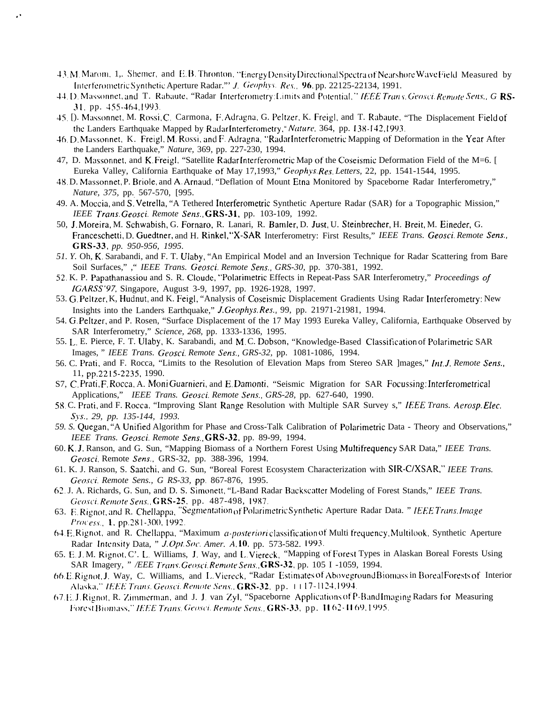- 43 M. Marom, 1, Shemer, and E.B. Thronton, "Energy Density Directional Spectra of Nearshore Wave Field Measured by Interferometric Synthetic Aperture Radar." J. Geophys. Res. 96. pp. 22125-22134, 1991.
- 44. D. Massonnet, and T. Rabaute, "Radar Interferometry: Limits and Potential," IEEE Trans. Geosci. Remote Sens., G RS-31. pp. 455-464.1993.
- 45. [). Massonnet, M. Rossi, C. Carmona, F. Adragna, G. Peltzer, K. Freigl, and T. Rabaute, "The Displacement Field of the Landers Earthquake Mapped by RadarInterferometry," Nature, 364, pp. 138-142,1993.
- 46. D. Massonnet, K. Freigl, M. Rossi, and F. Adragna, "Radar Interferometric Mapping of Deformation in the Year After the Landers Earthquake," Nature, 369, pp. 227-230, 1994.
- 47, D. Massonnet, and K. Freigl, "Satellite Radar Interferometric Map of the Coseismic Deformation Field of the M=6. [ Eureka Valley, California Earthquake of May 17,1993," Geophys. Res. Letters, 22, pp. 1541-1544, 1995.
- 48. D. Massonnet, P. Briole, and A. Arnaud, "Deflation of Mount Etna Monitored by Spaceborne Radar Interferometry," Nature, 375, pp. 567-570, [995.
- 49. A. Moccia, and S. Vetrella, "A Tethered Interferometric Synthetic Aperture Radar (SAR) for a Topographic Mission," IEEE Trans. Geosci. Remote Sens., GRS-31, pp. 103-109, 1992.
- 50, J. Moreira, M. Schwabish, G. Fornaro, R. Lanari, R. Bamler, D. Just, U. Steinbrecher, H. Breit, M. Eineder, G. Franceschetti, D. Guedtner, and H. Rinkel, "X-SAR Interferometry: First Results," IEEE Trans. Geosci. Remote Sens., GRS-33, pp. 950-956, 1995.
- 51. Y. Oh, K. Sarabandi, and F. T. Ulaby, "An Empirical Model and an Inversion Technique for Radar Scattering from Bare Soil Surfaces," ," IEEE Trans. Geosci. Remote Sens., GRS-30, pp. 370-381, 1992.
- 52. K. P. Papathanassiou and S. R. Cloude, "Polarimetric Effects in Repeat-Pass SAR Interferometry," Proceedings of IGARSS'97, Singapore, August 3-9, 1997, pp. 1926-1928, 1997.
- 53. G. Peltzer, K. Hudnut, and K. Feigl, "Analysis of Coseismic Displacement Gradients Using Radar Interferometry: New Insights into the Landers Earthquake," J.Geophys.Res., 99, pp. 21971-21981, 1994.
- 54. G. Peltzer, and P. Rosen, "Surface Displacement of the 17 May 1993 Eureka Valley, California, Earthquake Observed by SAR Interferometry," Science, 268, pp. 1333-1336, 1995.
- 55. L. E. Pierce, F. T. Ulaby, K. Sarabandi, and M.C. Dobson, "Knowledge-Based Classification of Polarimetric SAR Images," IEEE Trans. Geosci. Remote Sens., GRS-32, pp. 1081-1086, 1994.
- 56. C. Prati, and F. Rocca, "Limits to the Resolution of Elevation Maps from Stereo SAR ]mages," Int. J. Remote Sens., 11, pp.2215-2235, 1990.
- S7, C. Prati, F. Rocca, A. Moni Guarnieri, and E. Damonti, "Seismic Migration for SAR Focussing: Interferometrical Applications," IEEE Trans. Geosci. Remote Sens., GRS-28, pp. 627-640, 1990.
- 58. C. Prati, and F. Rocca, "Improving Slant Range Resolution with Multiple SAR Survey s," IEEE Trans. Aerosp.Elec. Sys., 29, pp. 135-144, 1993.
- 59. S. Quegan, "A Unified Algorithm for Phase and Cross-Talk Calibration of Polarimetric Data Theory and Observations," IEEE Trans. Geosci. Remote Sens., GRS-32, pp. 89-99, 1994.
- 60. K.J. Ranson, and G. Sun, "Mapping Biomass of a Northern Forest Using Multifrequency SAR Data," IEEE Trans. Geosci. Remote Sens., GRS-32, pp. 388-396, 1994.
- 61. K. J. Ranson, S. Saatchi, and G. Sun, "Boreal Forest Ecosystem Characterization with SIR-C/XSAR," IEEE Trans. Geosci. Remote Sens., G RS-33, pp. 867-876, 1995.
- 62. J. A. Richards, G. Sun, and D. S. Simonett, "L-Band Radar Backscatter Modeling of Forest Stands," IEEE Trans. Geosci.Remote Sens. GRS-25, pp. 487-498, 1987.
- 63. E.Rignot, and R. Chellappa, "Segmentation of Polarimetric Synthetic Aperture Radar Data. " IEEE Trans. Image Process., 1, pp.281-300, 1992.
- 64. E. Rignot, and R. Chellappa, "Maximum a-posterioriclassification of Multi frequency, Multilook, Synthetic Aperture Radar Intensity Data, " J Opt Soc. Amer. A.10. pp. 573-582. 1993.
- 65. E.J.M. Rignot, C'. L. Williams, J. Way, and L. Viereck, "Mapping of Forest Types in Alaskan Boreal Forests Using SAR Imagery, " /EEE Trans. Geosci. Remote Sens., GRS-32, pp. 105 I -1059, 1994.
- 66. E. Rignot, J. Way, C. Williams, and L. Viereck, "Radar Estimates of Aboveground Biomass in Boreal Forests of Interior Alaska," IEEE Trans. Geosci. Remote Sens., GRS-32, pp. 1117-1124,1994.
- 67.E.J.Rignot, R. Zimmerman, and J. J. van Zyl, "Spaceborne Applications of P-BandImaging Radars for Measuring Forest Biomass," IEEE Trans. Geosci. Remote Sens., GRS-33, pp. 1162-1169,1995.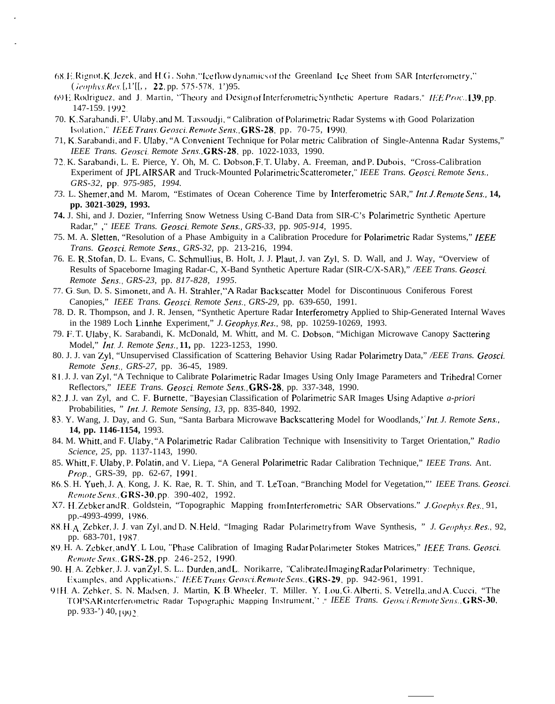- 68.E.Rignot, K. Jezek, and H.G. Sohn, "Icetlow dynamics of the Greenland Ice Sheet from SAR Interferometry," (*ieophys.Res* [,1'[[,, 22, pp. 575-578, 1')95.
- 69 E. Rodriguez, and J. Martin, "Theory and Design of Interferometric Synthetic Aperture Radars," IEE Proc. 139, pp. 147-159. 1992.
- 70. K. Sarabandi, F'. Ulaby, and M. Tassoudji, "Calibration of Polarimetric Radar Systems with Good Polarization Isolation," IEEE Trans. Geosci. Remote Sens., GRS-28, pp. 70-75, 1990.
- 71, K. Sarabandi, and F. Ulaby, "A Convenient Technique for Polar metric Calibration of Single-Antenna Radar Systems," IEEE Trans. Geosci. Remote Sens., GRS-28, pp. 1022-1033, 1990.
- 72. K. Sarabandi, L. E. Pierce, Y. Oh, M. C. Dobson, F. T. Ulaby, A. Freeman, and P. Dubois, "Cross-Calibration Experiment of JPLAIRSAR and Truck-Mounted Polarimetric Scatterometer," IEEE Trans. Geosci. Remote Sens., GRS-32, pp. 975-985, 1994.
- 73. L. Shemer, and M. Marom, "Estimates of Ocean Coherence Time by Interferometric SAR," Int. J. Remote Sens., 14, pp. 3021-3029, 1993.
- 74. J. Shi, and J. Dozier, "Inferring Snow Wetness Using C-Band Data from SIR-C's Polarimetric Synthetic Aperture Radar,"," IEEE Trans. Geosci. Remote Sens., GRS-33, pp. 905-914, 1995.
- 75. M. A. Sletten, "Resolution of a Phase Ambiguity in a Calibration Procedure for Polarimetric Radar Systems," IEEE Trans. Geosci. Remote Sens., GRS-32, pp. 213-216, 1994.
- 76. E. R. Stofan, D. L. Evans, C. Schmullius, B. HoIt, J. J. Plaut, J. van Zyl, S. D. Wall, and J. Way, "Overview of Results of Spaceborne Imaging Radar-C, X-Band Synthetic Aperture Radar (SIR-C/X-SAR)," /EEE Trans. Geosci. Remote Sens., GRS-23, pp. 817-828, 1995.
- 77. G. Sun, D. S. Simonett, and A. H. Strahler, "A Radar Backscatter Model for Discontinuous Coniferous Forest Canopies," IEEE Trans. Geosci. Remote Sens., GRS-29, pp. 639-650, 1991.
- 78. D. R. Thompson, and J. R. Jensen, "Synthetic Aperture Radar Interferometry Applied to Ship-Generated Internal Waves in the 1989 Loch Linnhe Experiment," J. Geophys. Res., 98, pp. 10259-10269, 1993.
- 79. F. T. Ulaby, K. Sarabandi, K. McDonald, M. Whitt, and M. C. Dobson, "Michigan Microwave Canopy Sacttering Model," Int. J. Remote Sens., 11, pp. 1223-1253, 1990.
- 80. J. J. van Zyl, "Unsupervised Classification of Scattering Behavior Using Radar Polarimetry Data," /EEE Trans. Geosci. Remote Sens., GRS-27, pp. 36-45, 1989.
- 81.J.J. van Zyl, "A Technique to Calibrate Polarimetric Radar Images Using Only Image Parameters and Trihedral Corner Reflectors," IEEE Trans. Geosci. Remote Sens., GRS-28, pp. 337-348, 1990.
- 82. J. J. van Zyl, and C. F. Burnette, "Bayesian Classification of Polarimetric SAR Images Using Adaptive a-priori Probabilities, " Int. J. Remote Sensing, 13, pp. 835-840, 1992.
- 83. Y. Wang, J. Day, and G. Sun, "Santa Barbara Microwave Backscattering Model for Woodlands," Int. J. Remote Sens., 14, pp. 1146-1154, 1993.
- 84. M. Whitt, and F. Ulaby, "A Polarimetric Radar Calibration Technique with Insensitivity to Target Orientation," Radio Science, 25, pp. 1137-1143, 1990.
- 85. Whitt, F. Ulaby, P. Polatin, and V. Liepa, "A General Polarimetric Radar Calibration Technique," IEEE Trans. Ant. Prop., GRS-39, pp. 62-67, 1991.
- 86 S. H. Yueh, J. A. Kong, J. K. Rae, R. T. Shin, and T. LeToan, "Branching Model for Vegetation," IEEE Trans. Geosci. Remote Sens., **GRS-30**, pp. 390-402, 1992.
- X7. H. Zebker and R. Goldstein, "Topographic Mapping from Interferometric SAR Observations." J. Goephys. Res., 91, pp.-4993-4999, 1986.
- 88.H.A Zebker, J. J. van Zyl, and D. N. Held, "Imaging Radar Polarimetry from Wave Synthesis, " J. Geophys. Res., 92, pp. 683-701, 1987.
- 89 H. A. Zebker, and Y. L. Lou, "Phase Calibration of Imaging Radar Polarimeter Stokes Matrices," IEEE Trans. Geosci. Remote Sens. GRS-28, pp. 246-252, 1990.
- 90. H.A. Zebker, J. J. van Zyl, S. L., Durden, and L. Norikarre, "Calibrated Imaging Radar Polarimetry: Technique, Examples, and Applications," IEEE Trans. Geosci. Remote Sens., GRS-29, pp. 942-961, 1991.
- 91H. A. Zebker, S. N. Madsen, J. Martin, K.B. Wheeler, T. Miller. Y. Lou, G. Alberti, S. Vetrella, and A. Cucci, "The TOPSAR interferometric Radar Topographic Mapping Instrument," . HEEE Trans. Geosci. Remote Sens., GRS-30. pp. 933-') 40, 1992